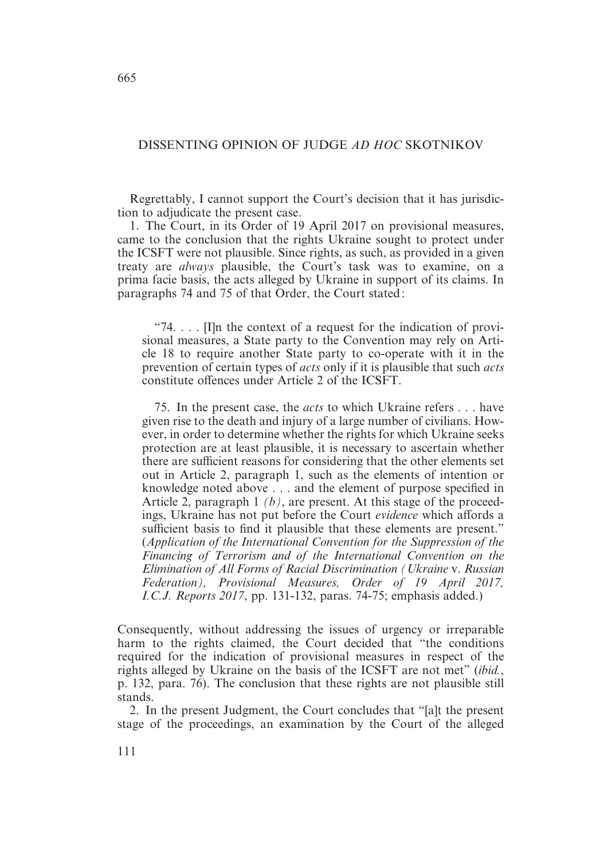# DISSENTING OPINION OF JUDGE *AD HOC* SKOTNIKOV

Regrettably, I cannot support the Court's decision that it has jurisdiction to adjudicate the present case.

1. The Court, in its Order of 19 April 2017 on provisional measures, came to the conclusion that the rights Ukraine sought to protect under the ICSFT were not plausible. Since rights, as such, as provided in a given treaty are *always* plausible, the Court's task was to examine, on a prima facie basis, the acts alleged by Ukraine in support of its claims. In paragraphs 74 and 75 of that Order, the Court stated :

"74.  $\ldots$  [I]n the context of a request for the indication of provisional measures, a State party to the Convention may rely on Article 18 to require another State party to co-operate with it in the prevention of certain types of *acts* only if it is plausible that such *acts* constitute offences under Article 2 of the ICSFT.

75. In the present case, the *acts* to which Ukraine refers . . . have given rise to the death and injury of a large number of civilians. However, in order to determine whether the rights for which Ukraine seeks protection are at least plausible, it is necessary to ascertain whether there are sufficient reasons for considering that the other elements set out in Article 2, paragraph 1, such as the elements of intention or knowledge noted above . . . and the element of purpose specified in Article 2, paragraph 1 *(b)*, are present. At this stage of the proceedings, Ukraine has not put before the Court *evidence* which affords a sufficient basis to find it plausible that these elements are present." (*Application of the International Convention for the Suppression of the Financing of Terrorism and of the International Convention on the Elimination of All Forms of Racial Discrimination (Ukraine* v. *Russian Federation), Provisional Measures, Order of 19 April 2017, I.C.J. Reports 2017*, pp. 131-132, paras. 74-75; emphasis added.)

Consequently, without addressing the issues of urgency or irreparable harm to the rights claimed, the Court decided that "the conditions required for the indication of provisional measures in respect of the rights alleged by Ukraine on the basis of the ICSFT are not met" (*ibid.*, p. 132, para. 76). The conclusion that these rights are not plausible still stands.

2. In the present Judgment, the Court concludes that "[a]t the present stage of the proceedings, an examination by the Court of the alleged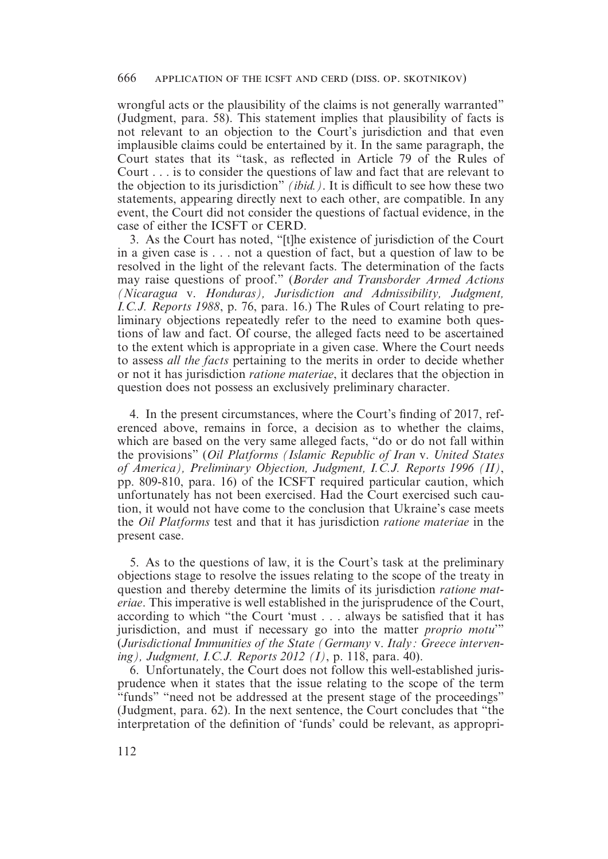wrongful acts or the plausibility of the claims is not generally warranted" (Judgment, para. 58). This statement implies that plausibility of facts is not relevant to an objection to the Court's jurisdiction and that even implausible claims could be entertained by it. In the same paragraph, the Court states that its "task, as reflected in Article 79 of the Rules of Court . . . is to consider the questions of law and fact that are relevant to the objection to its jurisdiction" *(ibid.)*. It is difficult to see how these two statements, appearing directly next to each other, are compatible. In any event, the Court did not consider the questions of factual evidence, in the case of either the ICSFT or CERD.

3. As the Court has noted, "[t]he existence of jurisdiction of the Court in a given case is . . . not a question of fact, but a question of law to be resolved in the light of the relevant facts. The determination of the facts may raise questions of proof." (*Border and Transborder Armed Actions (Nicaragua* v. *Honduras), Jurisdiction and Admissibility, Judgment, I.C.J. Reports 1988*, p. 76, para. 16.) The Rules of Court relating to preliminary objections repeatedly refer to the need to examine both questions of law and fact. Of course, the alleged facts need to be ascertained to the extent which is appropriate in a given case. Where the Court needs to assess *all the facts* pertaining to the merits in order to decide whether or not it has jurisdiction *ratione materiae*, it declares that the objection in question does not possess an exclusively preliminary character.

4. In the present circumstances, where the Court's finding of 2017, referenced above, remains in force, a decision as to whether the claims, which are based on the very same alleged facts, "do or do not fall within the provisions" (*Oil Platforms (Islamic Republic of Iran* v. *United States of America), Preliminary Objection, Judgment, I.C.J. Reports 1996 (II)*, pp. 809-810, para. 16) of the ICSFT required particular caution, which unfortunately has not been exercised. Had the Court exercised such caution, it would not have come to the conclusion that Ukraine's case meets the *Oil Platforms* test and that it has jurisdiction *ratione materiae* in the present case.

5. As to the questions of law, it is the Court's task at the preliminary objections stage to resolve the issues relating to the scope of the treaty in question and thereby determine the limits of its jurisdiction *ratione materiae*. This imperative is well established in the jurisprudence of the Court, according to which "the Court 'must . . . always be satisfied that it has jurisdiction, and must if necessary go into the matter *proprio motu*'" (*Jurisdictional Immunities of the State (Germany* v. *Italy : Greece intervening), Judgment, I.C.J. Reports 2012 (I)*, p. 118, para. 40).

6. Unfortunately, the Court does not follow this well-established jurisprudence when it states that the issue relating to the scope of the term "funds" "need not be addressed at the present stage of the proceedings" (Judgment, para. 62). In the next sentence, the Court concludes that "the interpretation of the definition of 'funds' could be relevant, as appropri-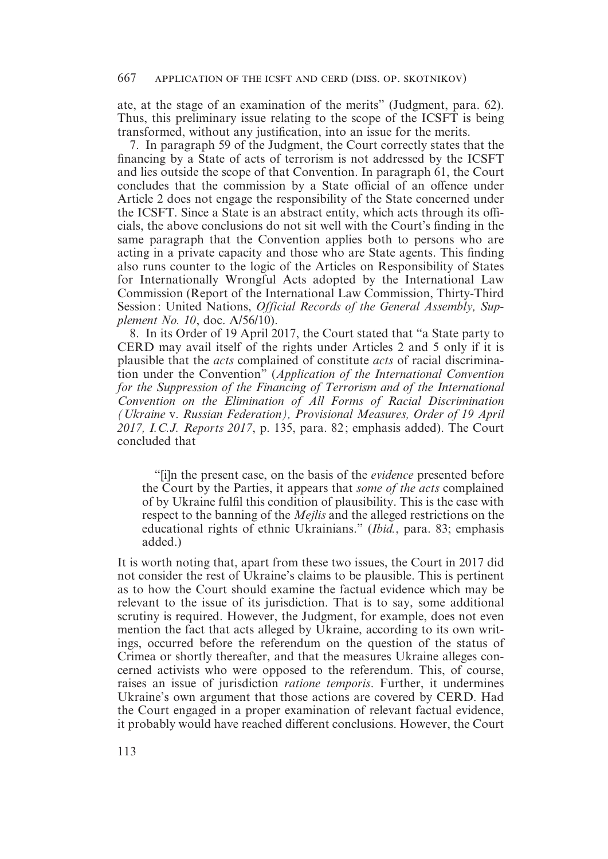ate, at the stage of an examination of the merits" (Judgment, para. 62). Thus, this preliminary issue relating to the scope of the ICSFT is being transformed, without any justification, into an issue for the merits.

7. In paragraph 59 of the Judgment, the Court correctly states that the financing by a State of acts of terrorism is not addressed by the ICSFT and lies outside the scope of that Convention. In paragraph 61, the Court concludes that the commission by a State official of an offence under Article 2 does not engage the responsibility of the State concerned under the ICSFT. Since a State is an abstract entity, which acts through its officials, the above conclusions do not sit well with the Court's finding in the same paragraph that the Convention applies both to persons who are acting in a private capacity and those who are State agents. This finding also runs counter to the logic of the Articles on Responsibility of States for Internationally Wrongful Acts adopted by the International Law Commission (Report of the International Law Commission, Thirty-Third Session : United Nations, *Official Records of the General Assembly, Supplement No. 10*, doc. A/56/10).

8. In its Order of 19 April 2017, the Court stated that "a State party to CERD may avail itself of the rights under Articles 2 and 5 only if it is plausible that the *acts* complained of constitute *acts* of racial discrimination under the Convention" (*Application of the International Convention for the Suppression of the Financing of Terrorism and of the International Convention on the Elimination of All Forms of Racial Discrimination (Ukraine* v. *Russian Federation), Provisional Measures, Order of 19 April 2017, I.C.J. Reports 2017*, p. 135, para. 82 ; emphasis added). The Court concluded that

"[i]n the present case, on the basis of the *evidence* presented before the Court by the Parties, it appears that *some of the acts* complained of by Ukraine fulfil this condition of plausibility. This is the case with respect to the banning of the *Mejlis* and the alleged restrictions on the educational rights of ethnic Ukrainians." (*Ibid.*, para. 83; emphasis added.)

It is worth noting that, apart from these two issues, the Court in 2017 did not consider the rest of Ukraine's claims to be plausible. This is pertinent as to how the Court should examine the factual evidence which may be relevant to the issue of its jurisdiction. That is to say, some additional scrutiny is required. However, the Judgment, for example, does not even mention the fact that acts alleged by Ukraine, according to its own writings, occurred before the referendum on the question of the status of Crimea or shortly thereafter, and that the measures Ukraine alleges concerned activists who were opposed to the referendum. This, of course, raises an issue of jurisdiction *ratione temporis*. Further, it undermines Ukraine's own argument that those actions are covered by CERD. Had the Court engaged in a proper examination of relevant factual evidence, it probably would have reached different conclusions. However, the Court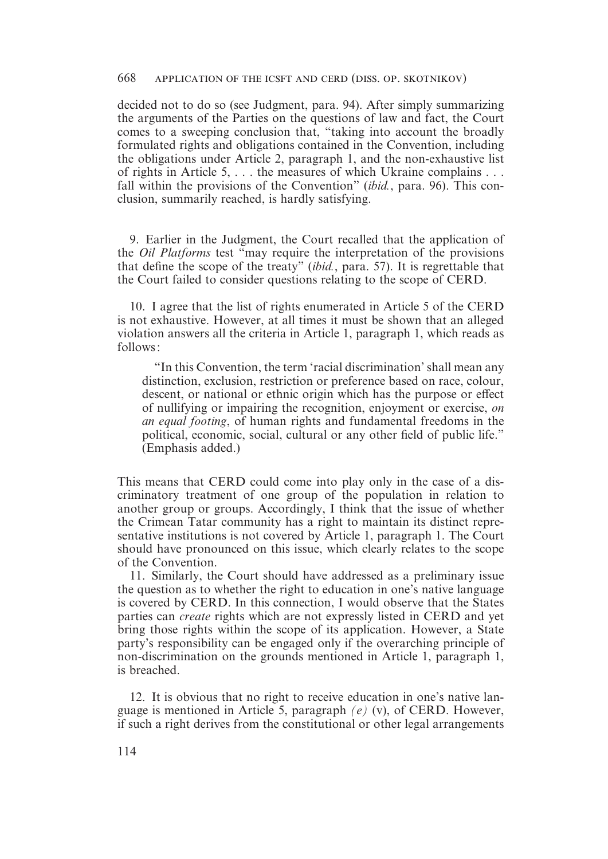decided not to do so (see Judgment, para. 94). After simply summarizing the arguments of the Parties on the questions of law and fact, the Court comes to a sweeping conclusion that, "taking into account the broadly formulated rights and obligations contained in the Convention, including the obligations under Article 2, paragraph 1, and the non-exhaustive list of rights in Article 5, . . . the measures of which Ukraine complains . . . fall within the provisions of the Convention" (*ibid.*, para. 96). This conclusion, summarily reached, is hardly satisfying.

9. Earlier in the Judgment, the Court recalled that the application of the *Oil Platforms* test "may require the interpretation of the provisions that define the scope of the treaty" (*ibid.*, para. 57). It is regrettable that the Court failed to consider questions relating to the scope of CERD.

10. I agree that the list of rights enumerated in Article 5 of the CERD is not exhaustive. However, at all times it must be shown that an alleged violation answers all the criteria in Article 1, paragraph 1, which reads as follows :

"In this Convention, the term 'racial discrimination' shall mean any distinction, exclusion, restriction or preference based on race, colour, descent, or national or ethnic origin which has the purpose or effect of nullifying or impairing the recognition, enjoyment or exercise, *on an equal footing*, of human rights and fundamental freedoms in the political, economic, social, cultural or any other field of public life." (Emphasis added.)

This means that CERD could come into play only in the case of a discriminatory treatment of one group of the population in relation to another group or groups. Accordingly, I think that the issue of whether the Crimean Tatar community has a right to maintain its distinct representative institutions is not covered by Article 1, paragraph 1. The Court should have pronounced on this issue, which clearly relates to the scope of the Convention.

11. Similarly, the Court should have addressed as a preliminary issue the question as to whether the right to education in one's native language is covered by CERD. In this connection, I would observe that the States parties can *create* rights which are not expressly listed in CERD and yet bring those rights within the scope of its application. However, a State party's responsibility can be engaged only if the overarching principle of non-discrimination on the grounds mentioned in Article 1, paragraph 1, is breached.

12. It is obvious that no right to receive education in one's native language is mentioned in Article 5, paragraph *(e)* (v), of CERD. However, if such a right derives from the constitutional or other legal arrangements